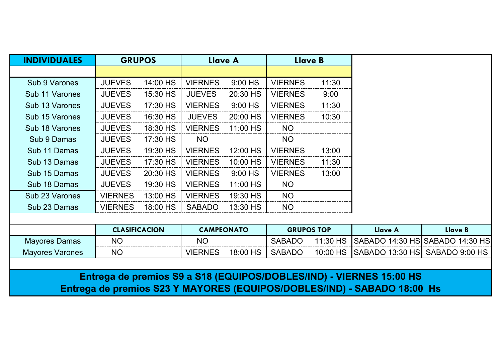| <b>INDIVIDUALES</b>    | <b>GRUPOS</b>        |          | Llave A           |          |                | Llave B           |                                                                     |                                 |
|------------------------|----------------------|----------|-------------------|----------|----------------|-------------------|---------------------------------------------------------------------|---------------------------------|
|                        |                      |          |                   |          |                |                   |                                                                     |                                 |
| Sub 9 Varones          | <b>JUEVES</b>        | 14:00 HS | <b>VIERNES</b>    | 9:00 HS  | <b>VIERNES</b> | 11:30             |                                                                     |                                 |
| Sub 11 Varones         | <b>JUEVES</b>        | 15:30 HS | <b>JUEVES</b>     | 20:30 HS | <b>VIERNES</b> | 9:00              |                                                                     |                                 |
| Sub 13 Varones         | <b>JUEVES</b>        | 17:30 HS | <b>VIERNES</b>    | 9:00 HS  | <b>VIERNES</b> | 11:30             |                                                                     |                                 |
| Sub 15 Varones         | <b>JUEVES</b>        | 16:30 HS | <b>JUEVES</b>     | 20:00 HS | <b>VIERNES</b> | 10:30             |                                                                     |                                 |
| Sub 18 Varones         | <b>JUEVES</b>        | 18:30 HS | <b>VIERNES</b>    | 11:00 HS | NO             |                   |                                                                     |                                 |
| Sub 9 Damas            | <b>JUEVES</b>        | 17:30 HS | <b>NO</b>         |          | <b>NO</b>      |                   |                                                                     |                                 |
| Sub 11 Damas           | <b>JUEVES</b>        | 19:30 HS | <b>VIERNES</b>    | 12:00 HS | <b>VIERNES</b> | 13:00             |                                                                     |                                 |
| Sub 13 Damas           | <b>JUEVES</b>        | 17:30 HS | <b>VIERNES</b>    | 10:00 HS | <b>VIERNES</b> | 11:30             |                                                                     |                                 |
| Sub 15 Damas           | <b>JUEVES</b>        | 20:30 HS | <b>VIERNES</b>    | 9:00 HS  | <b>VIERNES</b> | 13:00             |                                                                     |                                 |
| Sub 18 Damas           | <b>JUEVES</b>        | 19:30 HS | <b>VIERNES</b>    | 11:00 HS | <b>NO</b>      |                   |                                                                     |                                 |
| Sub 23 Varones         | <b>VIERNES</b>       | 13:00 HS | <b>VIERNES</b>    | 19:30 HS | <b>NO</b>      |                   |                                                                     |                                 |
| Sub 23 Damas           | <b>VIERNES</b>       | 18:00 HS | <b>SABADO</b>     | 13:30 HS | <b>NO</b>      |                   |                                                                     |                                 |
|                        |                      |          |                   |          |                |                   |                                                                     |                                 |
|                        | <b>CLASIFICACION</b> |          | <b>CAMPEONATO</b> |          |                | <b>GRUPOS TOP</b> | <b>Llave A</b>                                                      | <b>Llave B</b>                  |
| <b>Mayores Damas</b>   | <b>NO</b>            |          | <b>NO</b>         |          | <b>SABADO</b>  | 11:30 HS          |                                                                     | SABADO 14:30 HS SABADO 14:30 HS |
| <b>Mayores Varones</b> | <b>NO</b>            |          | <b>VIERNES</b>    | 18:00 HS | <b>SABADO</b>  | 10:00 HS          | SABADO 13:30 HS SABADO 9:00 HS                                      |                                 |
|                        |                      |          |                   |          |                |                   |                                                                     |                                 |
|                        |                      |          |                   |          |                |                   | Entrega de premios S9 a S18 (EQUIPOS/DOBLES/IND) - VIERNES 15:00 HS |                                 |

**Entrega de premios S23 Y MAYORES (EQUIPOS/DOBLES/IND) - SABADO 18:00 Hs**